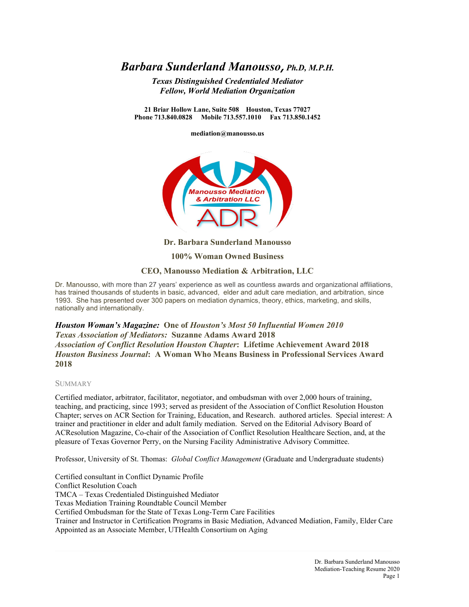# *Barbara Sunderland Manousso*, *Ph.D, M.P.H.*

*Texas Distinguished Credentialed Mediator Fellow, World Mediation Organization*

**21 Briar Hollow Lane, Suite 508 Houston, Texas 77027 Phone 713.840.0828 Mobile 713.557.1010 Fax 713.850.1452**

**mediation@manousso.us**



**Dr. Barbara Sunderland Manousso**

**100% Woman Owned Business** 

#### **CEO, Manousso Mediation & Arbitration, LLC**

Dr. Manousso, with more than 27 years' experience as well as countless awards and organizational affiliations, has trained thousands of students in basic, advanced, elder and adult care mediation, and arbitration, since 1993. She has presented over 300 papers on mediation dynamics, theory, ethics, marketing, and skills, nationally and internationally.

*Houston Woman's Magazine:* **One of** *Houston's Most 50 Influential Women 2010 Texas Association of Mediators:* **Suzanne Adams Award 2018** *Association of Conflict Resolution Houston Chapter***: Lifetime Achievement Award 2018** *Houston Business Journal***: A Woman Who Means Business in Professional Services Award 2018**

#### **SUMMARY**

Certified mediator, arbitrator, facilitator, negotiator, and ombudsman with over 2,000 hours of training, teaching, and practicing, since 1993; served as president of the Association of Conflict Resolution Houston Chapter; serves on ACR Section for Training, Education, and Research. authored articles. Special interest: A trainer and practitioner in elder and adult family mediation. Served on the Editorial Advisory Board of ACResolution Magazine, Co-chair of the Association of Conflict Resolution Healthcare Section, and, at the pleasure of Texas Governor Perry, on the Nursing Facility Administrative Advisory Committee.

Professor, University of St. Thomas: *Global Conflict Management* (Graduate and Undergraduate students)

Certified consultant in Conflict Dynamic Profile Conflict Resolution Coach TMCA – Texas Credentialed Distinguished Mediator Texas Mediation Training Roundtable Council Member Certified Ombudsman for the State of Texas Long-Term Care Facilities Trainer and Instructor in Certification Programs in Basic Mediation, Advanced Mediation, Family, Elder Care Appointed as an Associate Member, UTHealth Consortium on Aging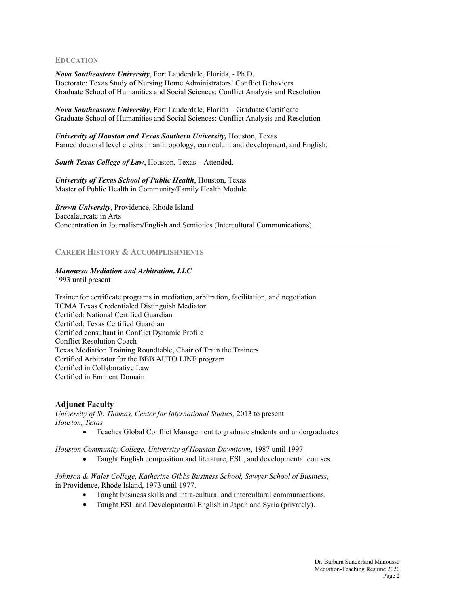#### **EDUCATION**

*Nova Southeastern University*, Fort Lauderdale, Florida, - Ph.D. Doctorate: Texas Study of Nursing Home Administrators' Conflict Behaviors Graduate School of Humanities and Social Sciences: Conflict Analysis and Resolution

*Nova Southeastern University*, Fort Lauderdale, Florida – Graduate Certificate Graduate School of Humanities and Social Sciences: Conflict Analysis and Resolution

*University of Houston and Texas Southern University,* Houston, Texas Earned doctoral level credits in anthropology, curriculum and development, and English.

*South Texas College of Law*, Houston, Texas – Attended.

*University of Texas School of Public Health*, Houston, Texas Master of Public Health in Community/Family Health Module

*Brown University*, Providence, Rhode Island Baccalaureate in Arts Concentration in Journalism/English and Semiotics (Intercultural Communications)

## **CAREER HISTORY & ACCOMPLISHMENTS**

#### *Manousso Mediation and Arbitration, LLC*

1993 until present

Trainer for certificate programs in mediation, arbitration, facilitation, and negotiation TCMA Texas Credentialed Distinguish Mediator Certified: National Certified Guardian Certified: Texas Certified Guardian Certified consultant in Conflict Dynamic Profile Conflict Resolution Coach Texas Mediation Training Roundtable, Chair of Train the Trainers Certified Arbitrator for the BBB AUTO LINE program Certified in Collaborative Law Certified in Eminent Domain

#### **Adjunct Faculty**

*University of St. Thomas, Center for International Studies,* 2013 to present *Houston, Texas*

• Teaches Global Conflict Management to graduate students and undergraduates

*Houston Community College, University of Houston Downtown*, 1987 until 1997

• Taught English composition and literature, ESL, and developmental courses.

*Johnson & Wales College, Katherine Gibbs Business School, Sawyer School of Business***,**  in Providence, Rhode Island, 1973 until 1977.

- Taught business skills and intra-cultural and intercultural communications.
- Taught ESL and Developmental English in Japan and Syria (privately).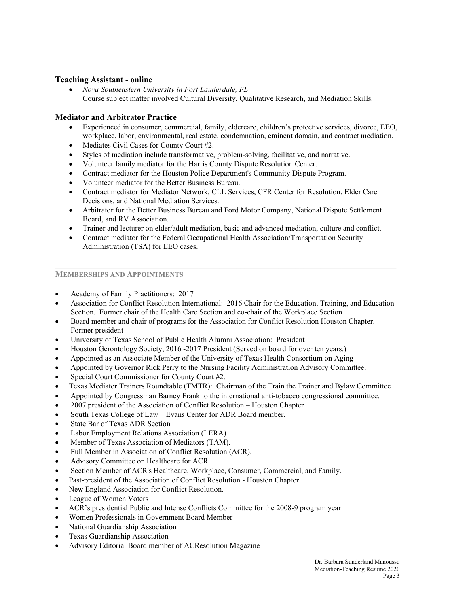## **Teaching Assistant - online**

• *Nova Southeastern University in Fort Lauderdale, FL* Course subject matter involved Cultural Diversity, Qualitative Research, and Mediation Skills.

## **Mediator and Arbitrator Practice**

- Experienced in consumer, commercial, family, eldercare, children's protective services, divorce, EEO, workplace, labor, environmental, real estate, condemnation, eminent domain, and contract mediation.
- Mediates Civil Cases for County Court #2.
- Styles of mediation include transformative, problem-solving, facilitative, and narrative.
- Volunteer family mediator for the Harris County Dispute Resolution Center.
- Contract mediator for the Houston Police Department's Community Dispute Program.
- Volunteer mediator for the Better Business Bureau.
- Contract mediator for Mediator Network, CLL Services, CFR Center for Resolution, Elder Care Decisions, and National Mediation Services.
- Arbitrator for the Better Business Bureau and Ford Motor Company, National Dispute Settlement Board, and RV Association.
- Trainer and lecturer on elder/adult mediation, basic and advanced mediation, culture and conflict.
- Contract mediator for the Federal Occupational Health Association/Transportation Security Administration (TSA) for EEO cases.

## **MEMBERSHIPS AND APPOINTMENTS**

- Academy of Family Practitioners: 2017
- Association for Conflict Resolution International: 2016 Chair for the Education, Training, and Education Section. Former chair of the Health Care Section and co-chair of the Workplace Section
- Board member and chair of programs for the Association for Conflict Resolution Houston Chapter. Former president
- University of Texas School of Public Health Alumni Association: President
- Houston Gerontology Society, 2016 -2017 President (Served on board for over ten years.)
- Appointed as an Associate Member of the University of Texas Health Consortium on Aging
- Appointed by Governor Rick Perry to the Nursing Facility Administration Advisory Committee.
- Special Court Commissioner for County Court #2.
- Texas Mediator Trainers Roundtable (TMTR): Chairman of the Train the Trainer and Bylaw Committee
- Appointed by Congressman Barney Frank to the international anti-tobacco congressional committee.
- 2007 president of the Association of Conflict Resolution Houston Chapter
- South Texas College of Law Evans Center for ADR Board member.
- State Bar of Texas ADR Section
- Labor Employment Relations Association (LERA)
- Member of Texas Association of Mediators (TAM).
- Full Member in Association of Conflict Resolution (ACR).
- Advisory Committee on Healthcare for ACR
- Section Member of ACR's Healthcare, Workplace, Consumer, Commercial, and Family.
- Past-president of the Association of Conflict Resolution Houston Chapter.
- New England Association for Conflict Resolution.
- League of Women Voters
- ACR's presidential Public and Intense Conflicts Committee for the 2008-9 program year
- Women Professionals in Government Board Member
- National Guardianship Association
- Texas Guardianship Association
- Advisory Editorial Board member of ACResolution Magazine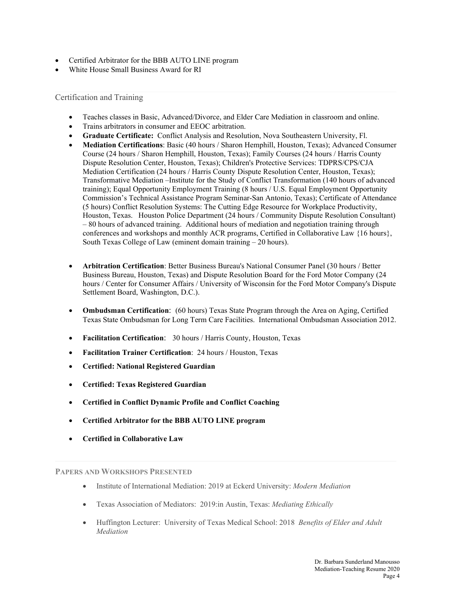- Certified Arbitrator for the BBB AUTO LINE program
- White House Small Business Award for RI

Certification and Training

- Teaches classes in Basic, Advanced/Divorce, and Elder Care Mediation in classroom and online.
- Trains arbitrators in consumer and EEOC arbitration.
- **Graduate Certificate:** Conflict Analysis and Resolution, Nova Southeastern University, Fl.
- **Mediation Certifications**: Basic (40 hours / Sharon Hemphill, Houston, Texas); Advanced Consumer Course (24 hours / Sharon Hemphill, Houston, Texas); Family Courses (24 hours / Harris County Dispute Resolution Center, Houston, Texas); Children's Protective Services: TDPRS/CPS/CJA Mediation Certification (24 hours / Harris County Dispute Resolution Center, Houston, Texas); Transformative Mediation –Institute for the Study of Conflict Transformation (140 hours of advanced training); Equal Opportunity Employment Training (8 hours / U.S. Equal Employment Opportunity Commission's Technical Assistance Program Seminar-San Antonio, Texas); Certificate of Attendance (5 hours) Conflict Resolution Systems: The Cutting Edge Resource for Workplace Productivity, Houston, Texas. Houston Police Department (24 hours / Community Dispute Resolution Consultant) – 80 hours of advanced training. Additional hours of mediation and negotiation training through conferences and workshops and monthly ACR programs, Certified in Collaborative Law {16 hours}, South Texas College of Law (eminent domain training – 20 hours).
- **Arbitration Certification**: Better Business Bureau's National Consumer Panel (30 hours / Better Business Bureau, Houston, Texas) and Dispute Resolution Board for the Ford Motor Company (24 hours / Center for Consumer Affairs / University of Wisconsin for the Ford Motor Company's Dispute Settlement Board, Washington, D.C.).
- **Ombudsman Certification**: (60 hours) Texas State Program through the Area on Aging, Certified Texas State Ombudsman for Long Term Care Facilities. International Ombudsman Association 2012.
- **Facilitation Certification**: 30 hours / Harris County, Houston, Texas
- **Facilitation Trainer Certification**: 24 hours / Houston, Texas
- **Certified: National Registered Guardian**
- **Certified: Texas Registered Guardian**
- **Certified in Conflict Dynamic Profile and Conflict Coaching**
- **Certified Arbitrator for the BBB AUTO LINE program**
- **Certified in Collaborative Law**

**PAPERS AND WORKSHOPS PRESENTED** 

- Institute of International Mediation: 2019 at Eckerd University: *Modern Mediation*
- Texas Association of Mediators: 2019:in Austin, Texas: *Mediating Ethically*
- Huffington Lecturer: University of Texas Medical School: 2018 *Benefits of Elder and Adult Mediation*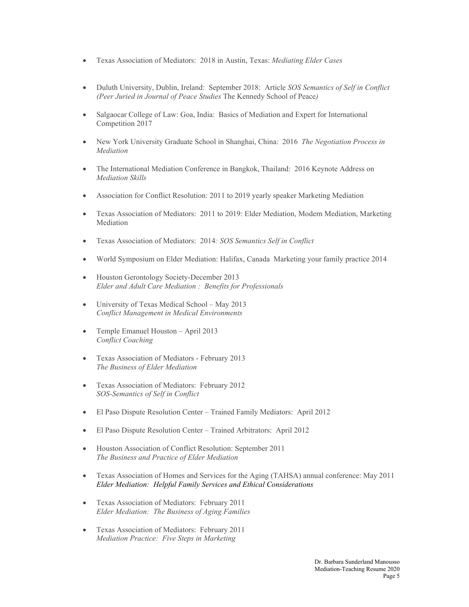- Texas Association of Mediators: 2018 in Austin, Texas: *Mediating Elder Cases*
- Duluth University, Dublin, Ireland: September 2018: Article *SOS Semantics of Self in Conflict (Peer Juried in Journal of Peace Studies* The Kennedy School of Peace*)*
- Salgaocar College of Law: Goa, India: Basics of Mediation and Expert for International Competition 2017
- New York University Graduate School in Shanghai, China: 2016 *The Negotiation Process in Mediation*
- The International Mediation Conference in Bangkok, Thailand: 2016 Keynote Address on *Mediation Skills*
- Association for Conflict Resolution: 2011 to 2019 yearly speaker Marketing Mediation
- Texas Association of Mediators: 2011 to 2019: Elder Mediation, Modern Mediation, Marketing Mediation
- Texas Association of Mediators: 2014*: SOS Semantics Self in Conflict*
- World Symposium on Elder Mediation: Halifax, Canada Marketing your family practice 2014
- Houston Gerontology Society-December 2013 *Elder and Adult Care Mediation : Benefits for Professionals*
- University of Texas Medical School May 2013 *Conflict Management in Medical Environments*
- Temple Emanuel Houston *–* April 2013 *Conflict Coaching*
- Texas Association of Mediators February 2013 *The Business of Elder Mediation*
- Texas Association of Mediators: February 2012 *SOS-Semantics of Self in Conflict*
- El Paso Dispute Resolution Center Trained Family Mediators: April 2012
- El Paso Dispute Resolution Center Trained Arbitrators: April 2012
- Houston Association of Conflict Resolution: September 2011 *The Business and Practice of Elder Mediation*
- Texas Association of Homes and Services for the Aging (TAHSA) annual conference: May 2011 *Elder Mediation: Helpful Family Services and Ethical Considerations*
- Texas Association of Mediators: February 2011 *Elder Mediation: The Business of Aging Families*
- Texas Association of Mediators: February 2011 *Mediation Practice: Five Steps in Marketing*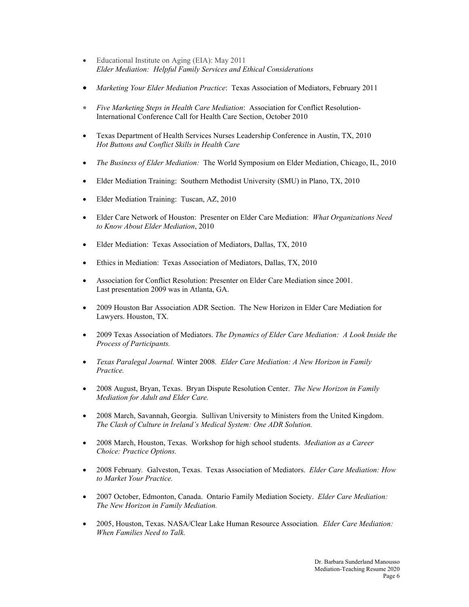- Educational Institute on Aging (EIA): May 2011 *Elder Mediation: Helpful Family Services and Ethical Considerations*
- *Marketing Your Elder Mediation Practice*: Texas Association of Mediators, February 2011
- *Five Marketing Steps in Health Care Mediation*: Association for Conflict Resolution-International Conference Call for Health Care Section, October 2010
- Texas Department of Health Services Nurses Leadership Conference in Austin, TX, 2010 *Hot Buttons and Conflict Skills in Health Care*
- *The Business of Elder Mediation:* The World Symposium on Elder Mediation, Chicago, IL, 2010
- Elder Mediation Training: Southern Methodist University (SMU) in Plano, TX, 2010
- Elder Mediation Training: Tuscan, AZ, 2010
- Elder Care Network of Houston: Presenter on Elder Care Mediation: *What Organizations Need to Know About Elder Mediation*, 2010
- Elder Mediation: Texas Association of Mediators, Dallas, TX, 2010
- Ethics in Mediation: Texas Association of Mediators, Dallas, TX, 2010
- Association for Conflict Resolution: Presenter on Elder Care Mediation since 2001. Last presentation 2009 was in Atlanta, GA.
- 2009 Houston Bar Association ADR Section. The New Horizon in Elder Care Mediation for Lawyers. Houston, TX.
- 2009 Texas Association of Mediators. *The Dynamics of Elder Care Mediation: A Look Inside the Process of Participants.*
- *Texas Paralegal Journal.* Winter 2008*. Elder Care Mediation: A New Horizon in Family Practice.*
- 2008 August, Bryan, Texas. Bryan Dispute Resolution Center. *The New Horizon in Family Mediation for Adult and Elder Care.*
- 2008 March, Savannah, Georgia. Sullivan University to Ministers from the United Kingdom. *The Clash of Culture in Ireland's Medical System: One ADR Solution.*
- 2008 March, Houston, Texas. Workshop for high school students. *Mediation as a Career Choice: Practice Options.*
- 2008 February*.* Galveston, Texas. Texas Association of Mediators. *Elder Care Mediation: How to Market Your Practice.*
- 2007 October, Edmonton, Canada. Ontario Family Mediation Society. *Elder Care Mediation: The New Horizon in Family Mediation.*
- 2005, Houston, Texas. NASA/Clear Lake Human Resource Association*. Elder Care Mediation: When Families Need to Talk.*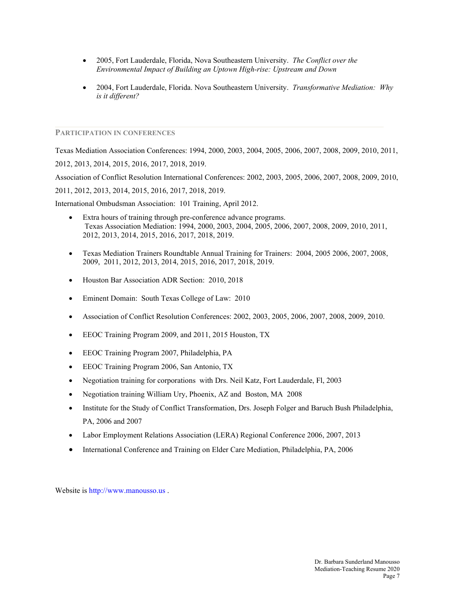- 2005, Fort Lauderdale, Florida, Nova Southeastern University. *The Conflict over the Environmental Impact of Building an Uptown High-rise: Upstream and Down*
- 2004, Fort Lauderdale, Florida. Nova Southeastern University. *Transformative Mediation: Why is it different?*

## **PARTICIPATION IN CONFERENCES**

Texas Mediation Association Conferences: 1994, 2000, 2003, 2004, 2005, 2006, 2007, 2008, 2009, 2010, 2011, 2012, 2013, 2014, 2015, 2016, 2017, 2018, 2019.

Association of Conflict Resolution International Conferences: 2002, 2003, 2005, 2006, 2007, 2008, 2009, 2010, 2011, 2012, 2013, 2014, 2015, 2016, 2017, 2018, 2019.

International Ombudsman Association: 101 Training, April 2012.

- Extra hours of training through pre-conference advance programs. Texas Association Mediation: 1994, 2000, 2003, 2004, 2005, 2006, 2007, 2008, 2009, 2010, 2011, 2012, 2013, 2014, 2015, 2016, 2017, 2018, 2019.
- Texas Mediation Trainers Roundtable Annual Training for Trainers: 2004, 2005 2006, 2007, 2008, 2009, 2011, 2012, 2013, 2014, 2015, 2016, 2017, 2018, 2019.
- Houston Bar Association ADR Section: 2010, 2018
- Eminent Domain: South Texas College of Law: 2010
- Association of Conflict Resolution Conferences: 2002, 2003, 2005, 2006, 2007, 2008, 2009, 2010.
- EEOC Training Program 2009, and 2011, 2015 Houston, TX
- EEOC Training Program 2007, Philadelphia, PA
- EEOC Training Program 2006, San Antonio, TX
- Negotiation training for corporations with Drs. Neil Katz, Fort Lauderdale, Fl, 2003
- Negotiation training William Ury, Phoenix, AZ and Boston, MA 2008
- Institute for the Study of Conflict Transformation, Drs. Joseph Folger and Baruch Bush Philadelphia, PA, 2006 and 2007
- Labor Employment Relations Association (LERA) Regional Conference 2006, 2007, 2013
- International Conference and Training on Elder Care Mediation, Philadelphia, PA, 2006

Website is [http://www.manousso.us](http://www.manousso.us/) .